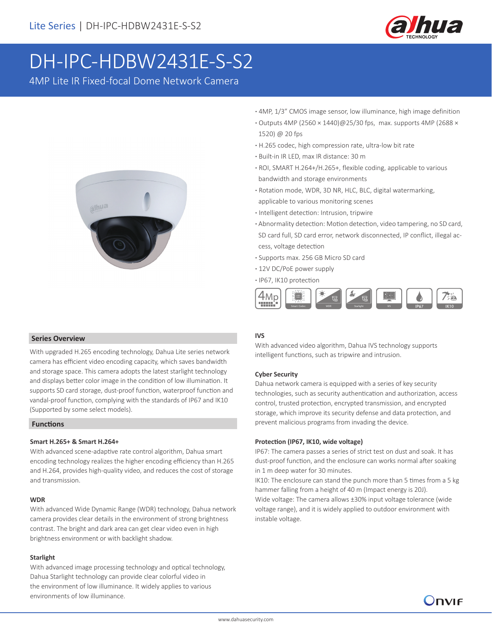

# DH-IPC-HDBW2431E-S-S2

4MP Lite IR Fixed-focal Dome Network Camera



- **·** 4MP, 1/3" CMOS image sensor, low illuminance, high image definition
- **·** Outputs 4MP (2560 × 1440)@25/30 fps, max. supports 4MP (2688 × 1520) @ 20 fps
- **·** H.265 codec, high compression rate, ultra-low bit rate
- **·** Built-in IR LED, max IR distance: 30 m
- **·** ROI, SMART H.264+/H.265+, flexible coding, applicable to various bandwidth and storage environments
- **·** Rotation mode, WDR, 3D NR, HLC, BLC, digital watermarking, applicable to various monitoring scenes
- **·** Intelligent detection: Intrusion, tripwire
- **·** Abnormality detection: Motion detection, video tampering, no SD card, SD card full, SD card error, network disconnected, IP conflict, illegal ac cess, voltage detection
- **·** Supports max. 256 GB Micro SD card
- **·** 12V DC/PoE power supply
- **·** IP67, IK10 protection



With advanced video algorithm, Dahua IVS technology supports intelligent functions, such as tripwire and intrusion.

### **Cyber Security**

**IVS**

Dahua network camera is equipped with a series of key security technologies, such as security authentication and authorization, access control, trusted protection, encrypted transmission, and encrypted storage, which improve its security defense and data protection, and prevent malicious programs from invading the device.

### **Protection (IP67, IK10, wide voltage)**

IP67: The camera passes a series of strict test on dust and soak. It has dust-proof function, and the enclosure can works normal after soaking in 1 m deep water for 30 minutes.

IK10: The enclosure can stand the punch more than 5 times from a 5 kg hammer falling from a height of 40 m (Impact energy is 20J). Wide voltage: The camera allows ±30% input voltage tolerance (wide voltage range), and it is widely applied to outdoor environment with instable voltage.

Onvie

### **Series Overview**

With upgraded H.265 encoding technology, Dahua Lite series network camera has efficient video encoding capacity, which saves bandwidth and storage space. This camera adopts the latest starlight technology and displays better color image in the condition of low illumination. It supports SD card storage, dust-proof function, waterproof function and vandal-proof function, complying with the standards of IP67 and IK10 (Supported by some select models).

### **Functions**

### **Smart H.265+ & Smart H.264+**

With advanced scene-adaptive rate control algorithm, Dahua smart encoding technology realizes the higher encoding efficiency than H.265 and H.264, provides high-quality video, and reduces the cost of storage and transmission.

### **WDR**

With advanced Wide Dynamic Range (WDR) technology, Dahua network camera provides clear details in the environment of strong brightness contrast. The bright and dark area can get clear video even in high brightness environment or with backlight shadow.

### **Starlight**

With advanced image processing technology and optical technology, Dahua Starlight technology can provide clear colorful video in the environment of low illuminance. It widely applies to various environments of low illuminance.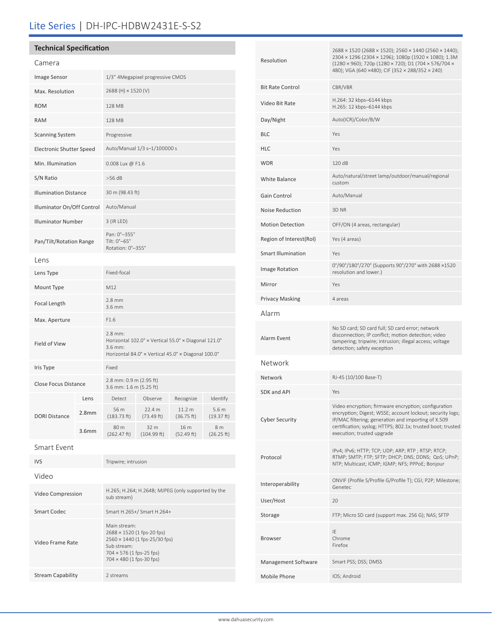## Lite Series | DH-IPC-HDBW2431E-S-S2

### **Technical Specification**

Video Frame Rate

Stream Capability 2 streams

| Camera                       |                   |                                                                                                                                   |                      |                                 |                     |  |
|------------------------------|-------------------|-----------------------------------------------------------------------------------------------------------------------------------|----------------------|---------------------------------|---------------------|--|
| Image Sensor                 |                   | 1/3" 4Megapixel progressive CMOS                                                                                                  |                      |                                 |                     |  |
| Max. Resolution              |                   | 2688 (H) × 1520 (V)                                                                                                               |                      |                                 |                     |  |
| <b>ROM</b>                   |                   | 128 MB                                                                                                                            |                      |                                 |                     |  |
| <b>RAM</b>                   |                   | 128 MB                                                                                                                            |                      |                                 |                     |  |
| <b>Scanning System</b>       |                   | Progressive                                                                                                                       |                      |                                 |                     |  |
| Electronic Shutter Speed     |                   | Auto/Manual 1/3 s-1/100000 s                                                                                                      |                      |                                 |                     |  |
| Min. Illumination            |                   | 0.008 Lux @ F1.6                                                                                                                  |                      |                                 |                     |  |
| S/N Ratio                    |                   | >56 dB                                                                                                                            |                      |                                 |                     |  |
| <b>Illumination Distance</b> |                   | 30 m (98.43 ft)                                                                                                                   |                      |                                 |                     |  |
| Illuminator On/Off Control   |                   | Auto/Manual                                                                                                                       |                      |                                 |                     |  |
| <b>Illuminator Number</b>    |                   | 3 (IR LED)                                                                                                                        |                      |                                 |                     |  |
| Pan/Tilt/Rotation Range      |                   | Pan: 0°-355°<br>Tilt: 0°-65°<br>Rotation: 0°-355°                                                                                 |                      |                                 |                     |  |
| Lens                         |                   |                                                                                                                                   |                      |                                 |                     |  |
| Lens Type                    |                   | Fixed-focal                                                                                                                       |                      |                                 |                     |  |
| Mount Type                   |                   | M12                                                                                                                               |                      |                                 |                     |  |
| Focal Length                 |                   | $2.8 \text{ mm}$<br>3.6 mm                                                                                                        |                      |                                 |                     |  |
| Max. Aperture                |                   | F1.6                                                                                                                              |                      |                                 |                     |  |
| Field of View                |                   | 2.8 mm:<br>Horizontal 102.0° x Vertical 55.0° x Diagonal 121.0°<br>3.6 mm:<br>Horizontal 84.0° x Vertical 45.0° x Diagonal 100.0° |                      |                                 |                     |  |
| Iris Type                    |                   | Fixed                                                                                                                             |                      |                                 |                     |  |
| Close Focus Distance         |                   | 2.8 mm: 0.9 m (2.95 ft)<br>3.6 mm: 1.6 m (5.25 ft)                                                                                |                      |                                 |                     |  |
|                              | Lens              | Detect                                                                                                                            | Observe              | Recognize                       | Identify            |  |
| <b>DORI Distance</b>         | 2.8 <sub>mm</sub> | 56 m<br>(183.73 ft)                                                                                                               | 22.4 m<br>(73.49 ft) | 11.2 <sub>m</sub><br>(36.75 ft) | 5.6 m<br>(19.37 ft) |  |
|                              | 3.6 <sub>mm</sub> | 80 m<br>(262.47 ft)                                                                                                               | 32 m<br>(104.99 ft)  | 16 m<br>(52.49 ft)              | 8 m<br>(26.25 ft)   |  |
| <b>Smart Event</b>           |                   |                                                                                                                                   |                      |                                 |                     |  |
| <b>IVS</b>                   |                   | Tripwire; intrusion                                                                                                               |                      |                                 |                     |  |
| Video                        |                   |                                                                                                                                   |                      |                                 |                     |  |
| Video Compression            |                   | H.265; H.264; H.264B; MJPEG (only supported by the<br>sub stream)                                                                 |                      |                                 |                     |  |
| Smart Codec                  |                   | Smart H.265+/ Smart H.264+                                                                                                        |                      |                                 |                     |  |

Main stream: 2688 × 1520 (1 fps-20 fps) 2560 × 1440 (1 fps-25/30 fps)

Sub stream: 704 × 576 (1 fps-25 fps) 704 × 480 (1 fps-30 fps)

| 2688 × 1520 (2688 × 1520); 2560 × 1440 (2560 × 1440);<br>2304 x 1296 (2304 x 1296); 1080p (1920 x 1080); 1.3M<br>(1280 × 960); 720p (1280 × 720); D1 (704 × 576/704 ×<br>480); VGA (640 ×480); CIF (352 × 288/352 × 240)                                              |  |  |
|-----------------------------------------------------------------------------------------------------------------------------------------------------------------------------------------------------------------------------------------------------------------------|--|--|
| CBR/VBR                                                                                                                                                                                                                                                               |  |  |
| H.264: 32 kbps-6144 kbps<br>H.265: 12 kbps-6144 kbps                                                                                                                                                                                                                  |  |  |
| Auto(ICR)/Color/B/W                                                                                                                                                                                                                                                   |  |  |
| Yes                                                                                                                                                                                                                                                                   |  |  |
| Yes                                                                                                                                                                                                                                                                   |  |  |
| 120 dB                                                                                                                                                                                                                                                                |  |  |
| Auto/natural/street lamp/outdoor/manual/regional<br>custom                                                                                                                                                                                                            |  |  |
| Auto/Manual                                                                                                                                                                                                                                                           |  |  |
| 3D NR                                                                                                                                                                                                                                                                 |  |  |
| OFF/ON (4 areas, rectangular)                                                                                                                                                                                                                                         |  |  |
| Yes (4 areas)                                                                                                                                                                                                                                                         |  |  |
| Yes                                                                                                                                                                                                                                                                   |  |  |
| 0°/90°/180°/270° (Supports 90°/270° with 2688 ×1520<br>resolution and lower.)                                                                                                                                                                                         |  |  |
| Yes                                                                                                                                                                                                                                                                   |  |  |
| 4 areas                                                                                                                                                                                                                                                               |  |  |
|                                                                                                                                                                                                                                                                       |  |  |
| No SD card; SD card full; SD card error; network<br>disconnection; IP conflict; motion detection; video<br>tampering; tripwire; intrusion; illegal access; voltage<br>detection; safety exception                                                                     |  |  |
|                                                                                                                                                                                                                                                                       |  |  |
| RJ-45 (10/100 Base-T)                                                                                                                                                                                                                                                 |  |  |
| Yes                                                                                                                                                                                                                                                                   |  |  |
| Video encryption; firmware encryption; configuration<br>encryption; Digest; WSSE; account lockout; security logs;<br>IP/MAC filtering; generation and importing of X.509<br>certification; syslog; HTTPS; 802.1x; trusted boot; trusted<br>execution; trusted upgrade |  |  |
| IPv4; IPv6; HTTP; TCP; UDP; ARP; RTP; RTSP; RTCP;<br>RTMP; SMTP; FTP; SFTP; DHCP; DNS; DDNS; QoS; UPnP;<br>NTP; Multicast; ICMP; IGMP; NFS; PPPoE; Bonjour                                                                                                            |  |  |
| ONVIF (Profile S/Profile G/Profile T); CGI; P2P; Milestone;<br>Genetec                                                                                                                                                                                                |  |  |
| 20                                                                                                                                                                                                                                                                    |  |  |
| FTP; Micro SD card (support max. 256 G); NAS; SFTP                                                                                                                                                                                                                    |  |  |
| IE<br>Chrome<br>Firefox                                                                                                                                                                                                                                               |  |  |
| Smart PSS; DSS; DMSS                                                                                                                                                                                                                                                  |  |  |
| IOS; Android                                                                                                                                                                                                                                                          |  |  |
|                                                                                                                                                                                                                                                                       |  |  |